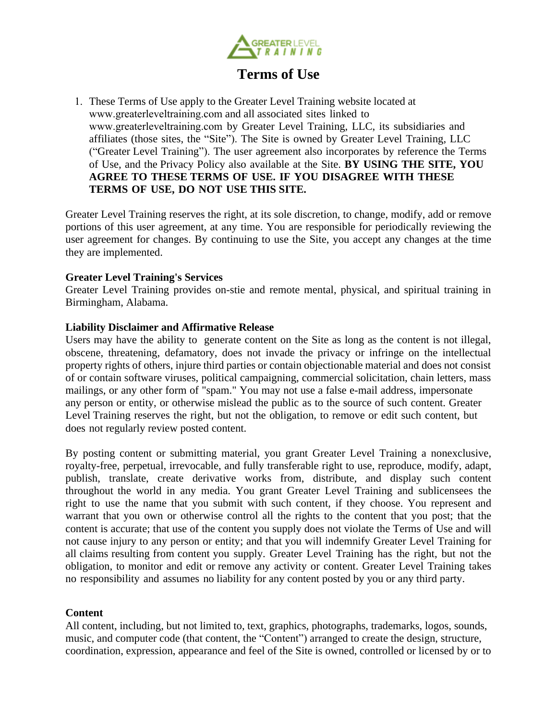

# **Terms of Use**

1. These Terms of Use apply to the Greater Level Training website located at www.greaterleveltraining.com and all associated sites linked to www.greaterleveltraining.com by Greater Level Training, LLC, its subsidiaries and affiliates (those sites, the "Site"). The Site is owned by Greater Level Training, LLC ("Greater Level Training"). The user agreement also incorporates by reference the Terms of Use, and the Privacy Policy also available at the Site. **BY USING THE SITE, YOU AGREE TO THESE TERMS OF USE. IF YOU DISAGREE WITH THESE TERMS OF USE, DO NOT USE THIS SITE.** 

Greater Level Training reserves the right, at its sole discretion, to change, modify, add or remove portions of this user agreement, at any time. You are responsible for periodically reviewing the user agreement for changes. By continuing to use the Site, you accept any changes at the time they are implemented.

# **Greater Level Training's Services**

Greater Level Training provides on-stie and remote mental, physical, and spiritual training in Birmingham, Alabama.

# **Liability Disclaimer and Affirmative Release**

Users may have the ability to generate content on the Site as long as the content is not illegal, obscene, threatening, defamatory, does not invade the privacy or infringe on the intellectual property rights of others, injure third parties or contain objectionable material and does not consist of or contain software viruses, political campaigning, commercial solicitation, chain letters, mass mailings, or any other form of "spam." You may not use a false e-mail address, impersonate any person or entity, or otherwise mislead the public as to the source of such content. Greater Level Training reserves the right, but not the obligation, to remove or edit such content, but does not regularly review posted content.

By posting content or submitting material, you grant Greater Level Training a nonexclusive, royalty-free, perpetual, irrevocable, and fully transferable right to use, reproduce, modify, adapt, publish, translate, create derivative works from, distribute, and display such content throughout the world in any media. You grant Greater Level Training and sublicensees the right to use the name that you submit with such content, if they choose. You represent and warrant that you own or otherwise control all the rights to the content that you post; that the content is accurate; that use of the content you supply does not violate the Terms of Use and will not cause injury to any person or entity; and that you will indemnify Greater Level Training for all claims resulting from content you supply. Greater Level Training has the right, but not the obligation, to monitor and edit or remove any activity or content. Greater Level Training takes no responsibility and assumes no liability for any content posted by you or any third party.

# **Content**

All content, including, but not limited to, text, graphics, photographs, trademarks, logos, sounds, music, and computer code (that content, the "Content") arranged to create the design, structure, coordination, expression, appearance and feel of the Site is owned, controlled or licensed by or to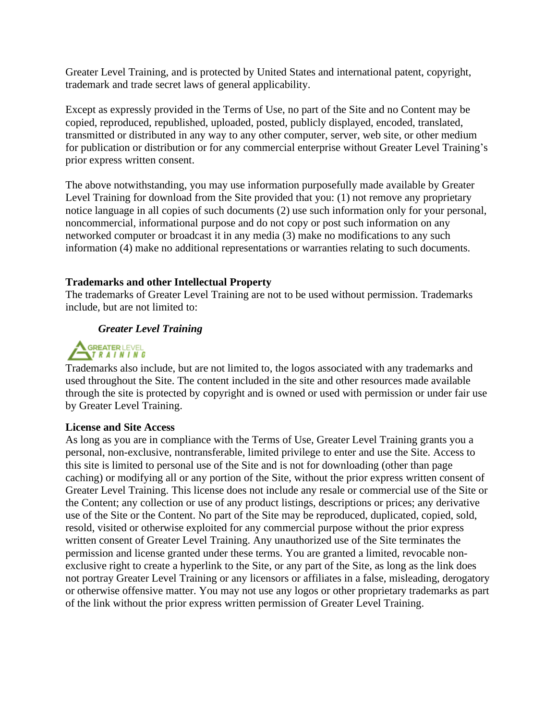Greater Level Training, and is protected by United States and international patent, copyright, trademark and trade secret laws of general applicability.

Except as expressly provided in the Terms of Use, no part of the Site and no Content may be copied, reproduced, republished, uploaded, posted, publicly displayed, encoded, translated, transmitted or distributed in any way to any other computer, server, web site, or other medium for publication or distribution or for any commercial enterprise without Greater Level Training's prior express written consent.

The above notwithstanding, you may use information purposefully made available by Greater Level Training for download from the Site provided that you: (1) not remove any proprietary notice language in all copies of such documents (2) use such information only for your personal, noncommercial, informational purpose and do not copy or post such information on any networked computer or broadcast it in any media (3) make no modifications to any such information (4) make no additional representations or warranties relating to such documents.

# **Trademarks and other Intellectual Property**

The trademarks of Greater Level Training are not to be used without permission. Trademarks include, but are not limited to:

# *Greater Level Training*



Trademarks also include, but are not limited to, the logos associated with any trademarks and used throughout the Site. The content included in the site and other resources made available through the site is protected by copyright and is owned or used with permission or under fair use by Greater Level Training.

#### **License and Site Access**

As long as you are in compliance with the Terms of Use, Greater Level Training grants you a personal, non-exclusive, nontransferable, limited privilege to enter and use the Site. Access to this site is limited to personal use of the Site and is not for downloading (other than page caching) or modifying all or any portion of the Site, without the prior express written consent of Greater Level Training. This license does not include any resale or commercial use of the Site or the Content; any collection or use of any product listings, descriptions or prices; any derivative use of the Site or the Content. No part of the Site may be reproduced, duplicated, copied, sold, resold, visited or otherwise exploited for any commercial purpose without the prior express written consent of Greater Level Training. Any unauthorized use of the Site terminates the permission and license granted under these terms. You are granted a limited, revocable nonexclusive right to create a hyperlink to the Site, or any part of the Site, as long as the link does not portray Greater Level Training or any licensors or affiliates in a false, misleading, derogatory or otherwise offensive matter. You may not use any logos or other proprietary trademarks as part of the link without the prior express written permission of Greater Level Training.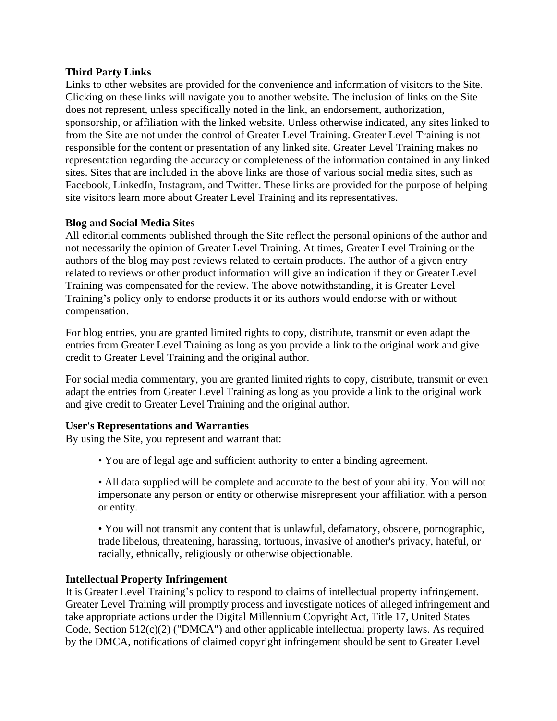# **Third Party Links**

Links to other websites are provided for the convenience and information of visitors to the Site. Clicking on these links will navigate you to another website. The inclusion of links on the Site does not represent, unless specifically noted in the link, an endorsement, authorization, sponsorship, or affiliation with the linked website. Unless otherwise indicated, any sites linked to from the Site are not under the control of Greater Level Training. Greater Level Training is not responsible for the content or presentation of any linked site. Greater Level Training makes no representation regarding the accuracy or completeness of the information contained in any linked sites. Sites that are included in the above links are those of various social media sites, such as Facebook, LinkedIn, Instagram, and Twitter. These links are provided for the purpose of helping site visitors learn more about Greater Level Training and its representatives.

# **Blog and Social Media Sites**

All editorial comments published through the Site reflect the personal opinions of the author and not necessarily the opinion of Greater Level Training. At times, Greater Level Training or the authors of the blog may post reviews related to certain products. The author of a given entry related to reviews or other product information will give an indication if they or Greater Level Training was compensated for the review. The above notwithstanding, it is Greater Level Training's policy only to endorse products it or its authors would endorse with or without compensation.

For blog entries, you are granted limited rights to copy, distribute, transmit or even adapt the entries from Greater Level Training as long as you provide a link to the original work and give credit to Greater Level Training and the original author.

For social media commentary, you are granted limited rights to copy, distribute, transmit or even adapt the entries from Greater Level Training as long as you provide a link to the original work and give credit to Greater Level Training and the original author.

# **User's Representations and Warranties**

By using the Site, you represent and warrant that:

• You are of legal age and sufficient authority to enter a binding agreement.

• All data supplied will be complete and accurate to the best of your ability. You will not impersonate any person or entity or otherwise misrepresent your affiliation with a person or entity.

• You will not transmit any content that is unlawful, defamatory, obscene, pornographic, trade libelous, threatening, harassing, tortuous, invasive of another's privacy, hateful, or racially, ethnically, religiously or otherwise objectionable.

# **Intellectual Property Infringement**

It is Greater Level Training's policy to respond to claims of intellectual property infringement. Greater Level Training will promptly process and investigate notices of alleged infringement and take appropriate actions under the Digital Millennium Copyright Act, Title 17, United States Code, Section 512(c)(2) ("DMCA") and other applicable intellectual property laws. As required by the DMCA, notifications of claimed copyright infringement should be sent to Greater Level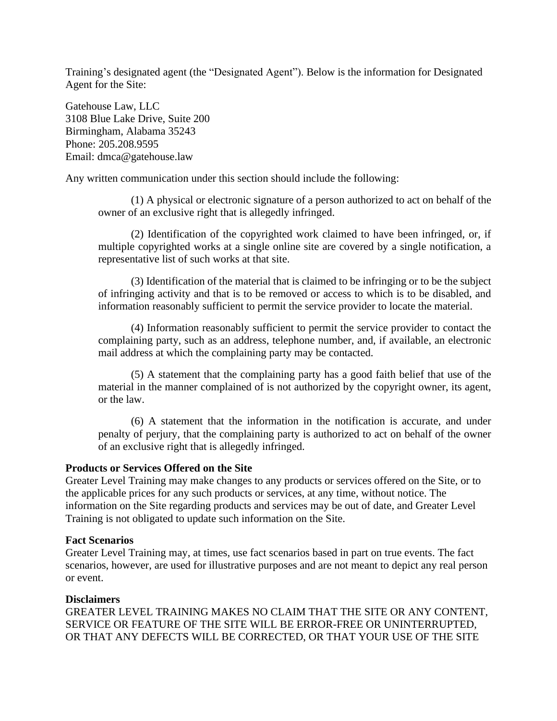Training's designated agent (the "Designated Agent"). Below is the information for Designated Agent for the Site:

Gatehouse Law, LLC 3108 Blue Lake Drive, Suite 200 Birmingham, Alabama 35243 Phone: 205.208.9595 Email: dmca@gatehouse.law

Any written communication under this section should include the following:

(1) A physical or electronic signature of a person authorized to act on behalf of the owner of an exclusive right that is allegedly infringed.

(2) Identification of the copyrighted work claimed to have been infringed, or, if multiple copyrighted works at a single online site are covered by a single notification, a representative list of such works at that site.

(3) Identification of the material that is claimed to be infringing or to be the subject of infringing activity and that is to be removed or access to which is to be disabled, and information reasonably sufficient to permit the service provider to locate the material.

(4) Information reasonably sufficient to permit the service provider to contact the complaining party, such as an address, telephone number, and, if available, an electronic mail address at which the complaining party may be contacted.

(5) A statement that the complaining party has a good faith belief that use of the material in the manner complained of is not authorized by the copyright owner, its agent, or the law.

(6) A statement that the information in the notification is accurate, and under penalty of perjury, that the complaining party is authorized to act on behalf of the owner of an exclusive right that is allegedly infringed.

# **Products or Services Offered on the Site**

Greater Level Training may make changes to any products or services offered on the Site, or to the applicable prices for any such products or services, at any time, without notice. The information on the Site regarding products and services may be out of date, and Greater Level Training is not obligated to update such information on the Site.

#### **Fact Scenarios**

Greater Level Training may, at times, use fact scenarios based in part on true events. The fact scenarios, however, are used for illustrative purposes and are not meant to depict any real person or event.

# **Disclaimers**

GREATER LEVEL TRAINING MAKES NO CLAIM THAT THE SITE OR ANY CONTENT, SERVICE OR FEATURE OF THE SITE WILL BE ERROR-FREE OR UNINTERRUPTED, OR THAT ANY DEFECTS WILL BE CORRECTED, OR THAT YOUR USE OF THE SITE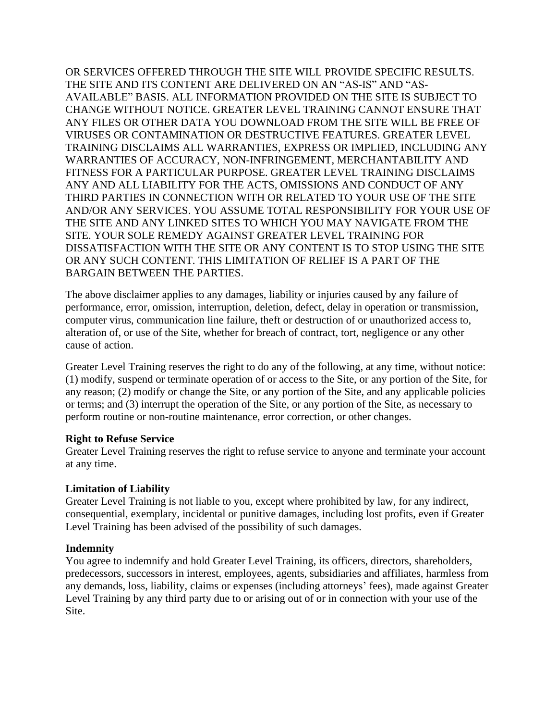OR SERVICES OFFERED THROUGH THE SITE WILL PROVIDE SPECIFIC RESULTS. THE SITE AND ITS CONTENT ARE DELIVERED ON AN "AS-IS" AND "AS-AVAILABLE" BASIS. ALL INFORMATION PROVIDED ON THE SITE IS SUBJECT TO CHANGE WITHOUT NOTICE. GREATER LEVEL TRAINING CANNOT ENSURE THAT ANY FILES OR OTHER DATA YOU DOWNLOAD FROM THE SITE WILL BE FREE OF VIRUSES OR CONTAMINATION OR DESTRUCTIVE FEATURES. GREATER LEVEL TRAINING DISCLAIMS ALL WARRANTIES, EXPRESS OR IMPLIED, INCLUDING ANY WARRANTIES OF ACCURACY, NON-INFRINGEMENT, MERCHANTABILITY AND FITNESS FOR A PARTICULAR PURPOSE. GREATER LEVEL TRAINING DISCLAIMS ANY AND ALL LIABILITY FOR THE ACTS, OMISSIONS AND CONDUCT OF ANY THIRD PARTIES IN CONNECTION WITH OR RELATED TO YOUR USE OF THE SITE AND/OR ANY SERVICES. YOU ASSUME TOTAL RESPONSIBILITY FOR YOUR USE OF THE SITE AND ANY LINKED SITES TO WHICH YOU MAY NAVIGATE FROM THE SITE. YOUR SOLE REMEDY AGAINST GREATER LEVEL TRAINING FOR DISSATISFACTION WITH THE SITE OR ANY CONTENT IS TO STOP USING THE SITE OR ANY SUCH CONTENT. THIS LIMITATION OF RELIEF IS A PART OF THE BARGAIN BETWEEN THE PARTIES.

The above disclaimer applies to any damages, liability or injuries caused by any failure of performance, error, omission, interruption, deletion, defect, delay in operation or transmission, computer virus, communication line failure, theft or destruction of or unauthorized access to, alteration of, or use of the Site, whether for breach of contract, tort, negligence or any other cause of action.

Greater Level Training reserves the right to do any of the following, at any time, without notice: (1) modify, suspend or terminate operation of or access to the Site, or any portion of the Site, for any reason; (2) modify or change the Site, or any portion of the Site, and any applicable policies or terms; and (3) interrupt the operation of the Site, or any portion of the Site, as necessary to perform routine or non-routine maintenance, error correction, or other changes.

# **Right to Refuse Service**

Greater Level Training reserves the right to refuse service to anyone and terminate your account at any time.

# **Limitation of Liability**

Greater Level Training is not liable to you, except where prohibited by law, for any indirect, consequential, exemplary, incidental or punitive damages, including lost profits, even if Greater Level Training has been advised of the possibility of such damages.

# **Indemnity**

You agree to indemnify and hold Greater Level Training, its officers, directors, shareholders, predecessors, successors in interest, employees, agents, subsidiaries and affiliates, harmless from any demands, loss, liability, claims or expenses (including attorneys' fees), made against Greater Level Training by any third party due to or arising out of or in connection with your use of the Site.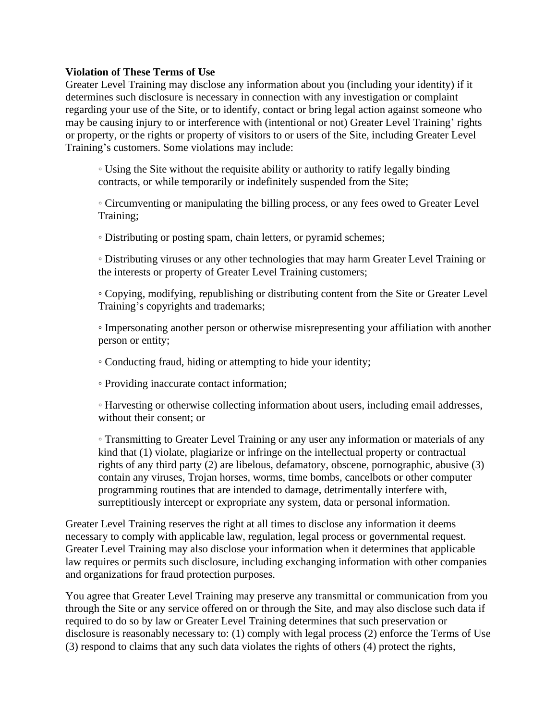# **Violation of These Terms of Use**

Greater Level Training may disclose any information about you (including your identity) if it determines such disclosure is necessary in connection with any investigation or complaint regarding your use of the Site, or to identify, contact or bring legal action against someone who may be causing injury to or interference with (intentional or not) Greater Level Training' rights or property, or the rights or property of visitors to or users of the Site, including Greater Level Training's customers. Some violations may include:

◦ Using the Site without the requisite ability or authority to ratify legally binding contracts, or while temporarily or indefinitely suspended from the Site;

◦ Circumventing or manipulating the billing process, or any fees owed to Greater Level Training;

◦ Distributing or posting spam, chain letters, or pyramid schemes;

◦ Distributing viruses or any other technologies that may harm Greater Level Training or the interests or property of Greater Level Training customers;

◦ Copying, modifying, republishing or distributing content from the Site or Greater Level Training's copyrights and trademarks;

◦ Impersonating another person or otherwise misrepresenting your affiliation with another person or entity;

◦ Conducting fraud, hiding or attempting to hide your identity;

◦ Providing inaccurate contact information;

◦ Harvesting or otherwise collecting information about users, including email addresses, without their consent; or

◦ Transmitting to Greater Level Training or any user any information or materials of any kind that (1) violate, plagiarize or infringe on the intellectual property or contractual rights of any third party (2) are libelous, defamatory, obscene, pornographic, abusive (3) contain any viruses, Trojan horses, worms, time bombs, cancelbots or other computer programming routines that are intended to damage, detrimentally interfere with, surreptitiously intercept or expropriate any system, data or personal information.

Greater Level Training reserves the right at all times to disclose any information it deems necessary to comply with applicable law, regulation, legal process or governmental request. Greater Level Training may also disclose your information when it determines that applicable law requires or permits such disclosure, including exchanging information with other companies and organizations for fraud protection purposes.

You agree that Greater Level Training may preserve any transmittal or communication from you through the Site or any service offered on or through the Site, and may also disclose such data if required to do so by law or Greater Level Training determines that such preservation or disclosure is reasonably necessary to: (1) comply with legal process (2) enforce the Terms of Use (3) respond to claims that any such data violates the rights of others (4) protect the rights,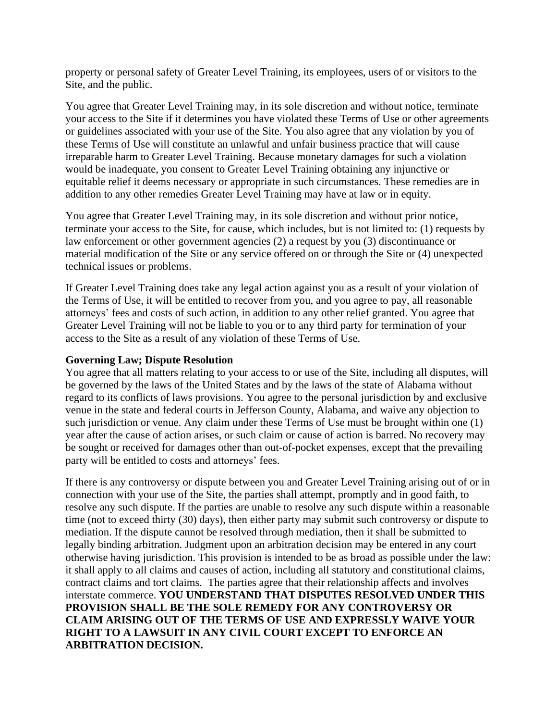property or personal safety of Greater Level Training, its employees, users of or visitors to the Site, and the public.

You agree that Greater Level Training may, in its sole discretion and without notice, terminate your access to the Site if it determines you have violated these Terms of Use or other agreements or guidelines associated with your use of the Site. You also agree that any violation by you of these Terms of Use will constitute an unlawful and unfair business practice that will cause irreparable harm to Greater Level Training. Because monetary damages for such a violation would be inadequate, you consent to Greater Level Training obtaining any injunctive or equitable relief it deems necessary or appropriate in such circumstances. These remedies are in addition to any other remedies Greater Level Training may have at law or in equity.

You agree that Greater Level Training may, in its sole discretion and without prior notice, terminate your access to the Site, for cause, which includes, but is not limited to: (1) requests by law enforcement or other government agencies (2) a request by you (3) discontinuance or material modification of the Site or any service offered on or through the Site or (4) unexpected technical issues or problems.

If Greater Level Training does take any legal action against you as a result of your violation of the Terms of Use, it will be entitled to recover from you, and you agree to pay, all reasonable attorneys' fees and costs of such action, in addition to any other relief granted. You agree that Greater Level Training will not be liable to you or to any third party for termination of your access to the Site as a result of any violation of these Terms of Use.

# **Governing Law; Dispute Resolution**

You agree that all matters relating to your access to or use of the Site, including all disputes, will be governed by the laws of the United States and by the laws of the state of Alabama without regard to its conflicts of laws provisions. You agree to the personal jurisdiction by and exclusive venue in the state and federal courts in Jefferson County, Alabama, and waive any objection to such jurisdiction or venue. Any claim under these Terms of Use must be brought within one (1) year after the cause of action arises, or such claim or cause of action is barred. No recovery may be sought or received for damages other than out-of-pocket expenses, except that the prevailing party will be entitled to costs and attorneys' fees.

If there is any controversy or dispute between you and Greater Level Training arising out of or in connection with your use of the Site, the parties shall attempt, promptly and in good faith, to resolve any such dispute. If the parties are unable to resolve any such dispute within a reasonable time (not to exceed thirty (30) days), then either party may submit such controversy or dispute to mediation. If the dispute cannot be resolved through mediation, then it shall be submitted to legally binding arbitration. Judgment upon an arbitration decision may be entered in any court otherwise having jurisdiction. This provision is intended to be as broad as possible under the law: it shall apply to all claims and causes of action, including all statutory and constitutional claims, contract claims and tort claims. The parties agree that their relationship affects and involves interstate commerce. **YOU UNDERSTAND THAT DISPUTES RESOLVED UNDER THIS PROVISION SHALL BE THE SOLE REMEDY FOR ANY CONTROVERSY OR CLAIM ARISING OUT OF THE TERMS OF USE AND EXPRESSLY WAIVE YOUR RIGHT TO A LAWSUIT IN ANY CIVIL COURT EXCEPT TO ENFORCE AN ARBITRATION DECISION.**